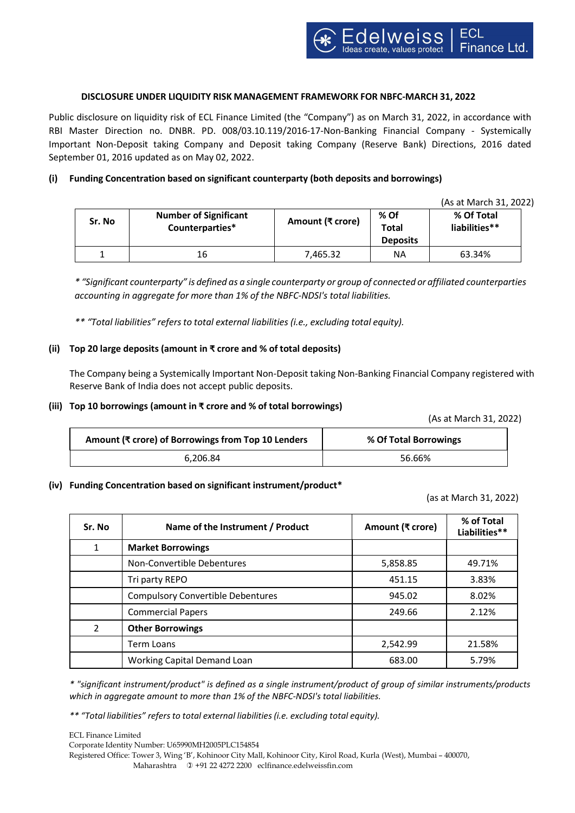### **DISCLOSURE UNDER LIQUIDITY RISK MANAGEMENT FRAMEWORK FOR NBFC-MARCH 31, 2022**

Public disclosure on liquidity risk of ECL Finance Limited (the "Company") as on March 31, 2022, in accordance with RBI Master Direction no. DNBR. PD. 008/03.10.119/2016-17-Non-Banking Financial Company - Systemically Important Non-Deposit taking Company and Deposit taking Company (Reserve Bank) Directions, 2016 dated September 01, 2016 updated as on May 02, 2022.

# **(i) Funding Concentration based on significant counterparty (both deposits and borrowings)**

(As at March 31, 2022)

| Sr. No | <b>Number of Significant</b><br>Counterparties* | Amount (₹ crore) | % Of<br><b>Total</b><br><b>Deposits</b> | % Of Total<br>liabilities** |
|--------|-------------------------------------------------|------------------|-----------------------------------------|-----------------------------|
|        | 16                                              | 7,465.32         | ΝA                                      | 63.34%                      |

\* "Significant counterparty" is defined as a single counterparty or group of connected or affiliated counterparties *accounting in aggregate for more than 1% of the NBFC-NDSI's total liabilities.*

*\*\* "Total liabilities" refersto total external liabilities (i.e., excluding total equity).*

### **(ii) Top 20 large deposits (amount in ₹ crore and % of total deposits)**

The Company being a Systemically Important Non-Deposit taking Non-Banking Financial Company registered with Reserve Bank of India does not accept public deposits.

### **(iii) Top 10 borrowings (amount in ₹ crore and % of total borrowings)**

(As at March 31, 2022)

| Amount (₹ crore) of Borrowings from Top 10 Lenders | % Of Total Borrowings |  |
|----------------------------------------------------|-----------------------|--|
| 6.206.84                                           | 56.66%                |  |

#### **(iv) Funding Concentration based on significant instrument/product\***

(as at March 31, 2022)

| Sr. No | Name of the Instrument / Product         | Amount (₹ crore) | % of Total<br>Liabilities** |
|--------|------------------------------------------|------------------|-----------------------------|
| 1      | <b>Market Borrowings</b>                 |                  |                             |
|        | Non-Convertible Debentures               | 5,858.85         | 49.71%                      |
|        | Tri party REPO                           | 451.15           | 3.83%                       |
|        | <b>Compulsory Convertible Debentures</b> | 945.02           | 8.02%                       |
|        | <b>Commercial Papers</b>                 | 249.66           | 2.12%                       |
| 2      | <b>Other Borrowings</b>                  |                  |                             |
|        | <b>Term Loans</b>                        | 2,542.99         | 21.58%                      |
|        | Working Capital Demand Loan              | 683.00           | 5.79%                       |

*\* "significant instrument/product" is defined as a single instrument/product of group of similar instruments/products which in aggregate amount to more than 1% of the NBFC-NDSI's total liabilities.*

*\*\* "Total liabilities" refersto total external liabilities(i.e. excluding total equity).*

ECL Finance Limited Corporate Identity Number: U65990MH2005PLC154854 Registered Office: Tower 3, Wing 'B', Kohinoor City Mall, Kohinoor City, Kirol Road, Kurla (West), Mumbai – 400070, Maharashtra +91 22 4272 2200 eclfinance.edelweissfin.com